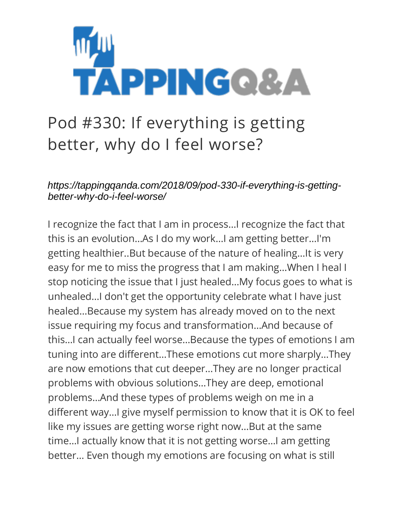

## Pod #330: If everything is getting better, why do I feel worse?

*https://tappingqanda.com/2018/09/pod-330-if-everything-is-gettingbetter-why-do-i-feel-worse/*

I recognize the fact that I am in process…I recognize the fact that this is an evolution…As I do my work…I am getting better…I'm getting healthier..But because of the nature of healing…It is very easy for me to miss the progress that I am making…When I heal I stop noticing the issue that I just healed…My focus goes to what is unhealed…I don't get the opportunity celebrate what I have just healed…Because my system has already moved on to the next issue requiring my focus and transformation…And because of this…I can actually feel worse…Because the types of emotions I am tuning into are different…These emotions cut more sharply…They are now emotions that cut deeper…They are no longer practical problems with obvious solutions…They are deep, emotional problems…And these types of problems weigh on me in a different way…I give myself permission to know that it is OK to feel like my issues are getting worse right now…But at the same time…I actually know that it is not getting worse…I am getting better… Even though my emotions are focusing on what is still